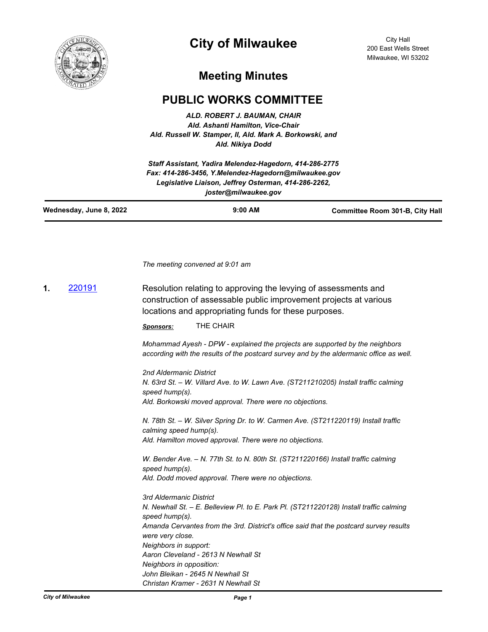

# **City of Milwaukee**

City Hall 200 East Wells Street Milwaukee, WI 53202

## **Meeting Minutes**

### **PUBLIC WORKS COMMITTEE**

*ALD. ROBERT J. BAUMAN, CHAIR Ald. Ashanti Hamilton, Vice-Chair Ald. Russell W. Stamper, II, Ald. Mark A. Borkowski, and Ald. Nikiya Dodd*

*Staff Assistant, Yadira Melendez-Hagedorn, 414-286-2775 Fax: 414-286-3456, Y.Melendez-Hagedorn@milwaukee.gov Legislative Liaison, Jeffrey Osterman, 414-286-2262, joster@milwaukee.gov*

| Wednesday, June 8, 2022 | $9:00$ AM | <b>Committee Room 301-B, City Hall</b> |
|-------------------------|-----------|----------------------------------------|
|                         |           |                                        |

*The meeting convened at 9:01 am*

**1.** [220191](http://milwaukee.legistar.com/gateway.aspx?m=l&id=/matter.aspx?key=62300) Resolution relating to approving the levying of assessments and construction of assessable public improvement projects at various locations and appropriating funds for these purposes.

*Sponsors:* THE CHAIR

*Mohammad Ayesh - DPW - explained the projects are supported by the neighbors according with the results of the postcard survey and by the aldermanic office as well.*

*2nd Aldermanic District N. 63rd St. – W. Villard Ave. to W. Lawn Ave. (ST211210205) Install traffic calming speed hump(s). Ald. Borkowski moved approval. There were no objections.* 

*N. 78th St. – W. Silver Spring Dr. to W. Carmen Ave. (ST211220119) Install traffic calming speed hump(s). Ald. Hamilton moved approval. There were no objections.* 

*W. Bender Ave. – N. 77th St. to N. 80th St. (ST211220166) Install traffic calming speed hump(s). Ald. Dodd moved approval. There were no objections.* 

*3rd Aldermanic District N. Newhall St. – E. Belleview Pl. to E. Park Pl. (ST211220128) Install traffic calming speed hump(s). Amanda Cervantes from the 3rd. District's office said that the postcard survey results were very close. Neighbors in support: Aaron Cleveland - 2613 N Newhall St Neighbors in opposition: John Bleikan - 2645 N Newhall St Christan Kramer - 2631 N Newhall St*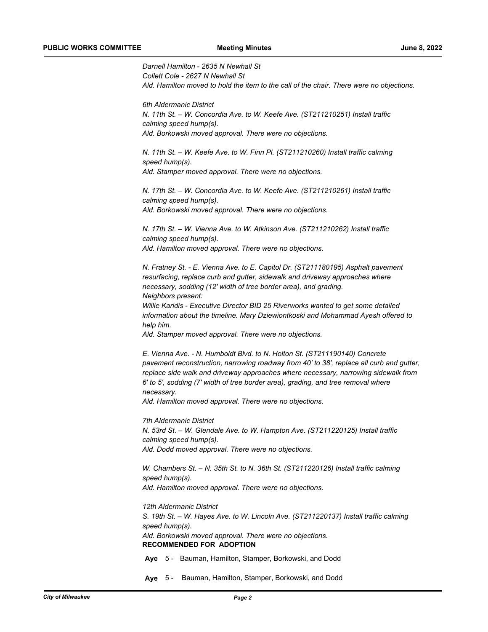*Darnell Hamilton - 2635 N Newhall St Collett Cole - 2627 N Newhall St Ald. Hamilton moved to hold the item to the call of the chair. There were no objections.*

*6th Aldermanic District N. 11th St. – W. Concordia Ave. to W. Keefe Ave. (ST211210251) Install traffic calming speed hump(s). Ald. Borkowski moved approval. There were no objections.* 

*N. 11th St. - W. Keefe Ave. to W. Finn Pl. (ST211210260) Install traffic calming speed hump(s). Ald. Stamper moved approval. There were no objections.* 

*N. 17th St. – W. Concordia Ave. to W. Keefe Ave. (ST211210261) Install traffic calming speed hump(s). Ald. Borkowski moved approval. There were no objections.* 

*N. 17th St. – W. Vienna Ave. to W. Atkinson Ave. (ST211210262) Install traffic calming speed hump(s). Ald. Hamilton moved approval. There were no objections.* 

*N. Fratney St. - E. Vienna Ave. to E. Capitol Dr. (ST211180195) Asphalt pavement resurfacing, replace curb and gutter, sidewalk and driveway approaches where necessary, sodding (12' width of tree border area), and grading. Neighbors present:*

*Willie Karidis - Executive Director BID 25 Riverworks wanted to get some detailed information about the timeline. Mary Dziewiontkoski and Mohammad Ayesh offered to help him.* 

*Ald. Stamper moved approval. There were no objections.* 

*E. Vienna Ave. - N. Humboldt Blvd. to N. Holton St. (ST211190140) Concrete pavement reconstruction, narrowing roadway from 40' to 38', replace all curb and gutter, replace side walk and driveway approaches where necessary, narrowing sidewalk from 6' to 5', sodding (7' width of tree border area), grading, and tree removal where necessary.* 

*Ald. Hamilton moved approval. There were no objections.* 

*7th Aldermanic District N. 53rd St. – W. Glendale Ave. to W. Hampton Ave. (ST211220125) Install traffic calming speed hump(s). Ald. Dodd moved approval. There were no objections.* 

*W. Chambers St. - N. 35th St. to N. 36th St. (ST211220126) Install traffic calming speed hump(s). Ald. Hamilton moved approval. There were no objections.* 

*12th Aldermanic District S. 19th St. – W. Hayes Ave. to W. Lincoln Ave. (ST211220137) Install traffic calming speed hump(s). Ald. Borkowski moved approval. There were no objections.* **RECOMMENDED FOR ADOPTION**

**Aye** 5 - Bauman, Hamilton, Stamper, Borkowski, and Dodd

**Aye** 5 - Bauman, Hamilton, Stamper, Borkowski, and Dodd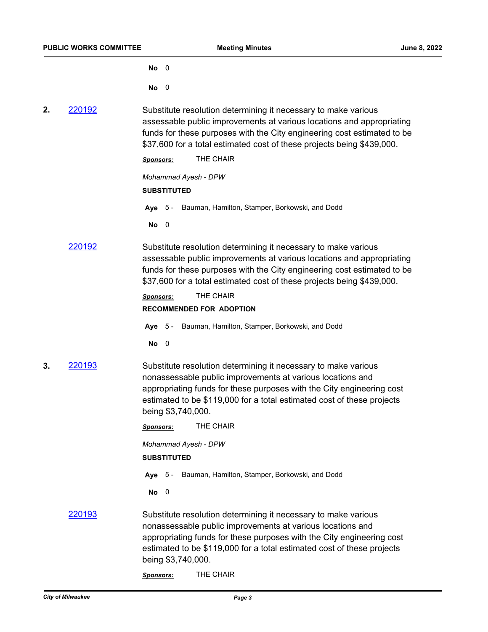**No** 0

**No** 0

**2.** [220192](http://milwaukee.legistar.com/gateway.aspx?m=l&id=/matter.aspx?key=62301) Substitute resolution determining it necessary to make various assessable public improvements at various locations and appropriating funds for these purposes with the City engineering cost estimated to be \$37,600 for a total estimated cost of these projects being \$439,000.

*Sponsors:* THE CHAIR

*Mohammad Ayesh - DPW*

#### **SUBSTITUTED**

**Aye** 5 - Bauman, Hamilton, Stamper, Borkowski, and Dodd

**No** 0

[220192](http://milwaukee.legistar.com/gateway.aspx?m=l&id=/matter.aspx?key=62301) Substitute resolution determining it necessary to make various assessable public improvements at various locations and appropriating funds for these purposes with the City engineering cost estimated to be \$37,600 for a total estimated cost of these projects being \$439,000.

*Sponsors:* THE CHAIR

#### **RECOMMENDED FOR ADOPTION**

**Aye** 5 - Bauman, Hamilton, Stamper, Borkowski, and Dodd

**No** 0

**3.** [220193](http://milwaukee.legistar.com/gateway.aspx?m=l&id=/matter.aspx?key=62302) Substitute resolution determining it necessary to make various nonassessable public improvements at various locations and appropriating funds for these purposes with the City engineering cost estimated to be \$119,000 for a total estimated cost of these projects being \$3,740,000.

|        | <b>Sponsors:</b>                                                                                                                                                                                                                                                                                      | THE CHAIR                                      |  |
|--------|-------------------------------------------------------------------------------------------------------------------------------------------------------------------------------------------------------------------------------------------------------------------------------------------------------|------------------------------------------------|--|
|        | Mohammad Ayesh - DPW<br><b>SUBSTITUTED</b>                                                                                                                                                                                                                                                            |                                                |  |
|        | Ave $5 -$                                                                                                                                                                                                                                                                                             | Bauman, Hamilton, Stamper, Borkowski, and Dodd |  |
|        | $No$ 0                                                                                                                                                                                                                                                                                                |                                                |  |
| 220193 | Substitute resolution determining it necessary to make various<br>nonassessable public improvements at various locations and<br>appropriating funds for these purposes with the City engineering cost<br>estimated to be \$119,000 for a total estimated cost of these projects<br>being \$3,740,000. |                                                |  |
|        | <b>Sponsors:</b>                                                                                                                                                                                                                                                                                      | THE CHAIR                                      |  |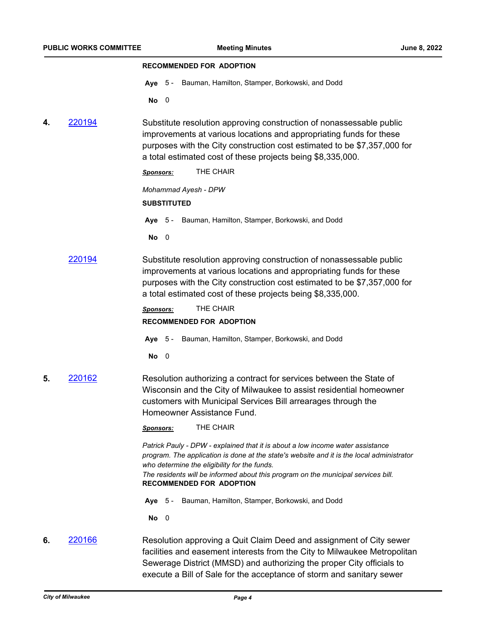#### **RECOMMENDED FOR ADOPTION**

**Aye** 5 - Bauman, Hamilton, Stamper, Borkowski, and Dodd

**No** 0

**4.** [220194](http://milwaukee.legistar.com/gateway.aspx?m=l&id=/matter.aspx?key=62303) Substitute resolution approving construction of nonassessable public improvements at various locations and appropriating funds for these purposes with the City construction cost estimated to be \$7,357,000 for

|    |        | a total estimated cost of these projects being \$8,335,000.                                                                                                                                                                                                                                                                                         |
|----|--------|-----------------------------------------------------------------------------------------------------------------------------------------------------------------------------------------------------------------------------------------------------------------------------------------------------------------------------------------------------|
|    |        | THE CHAIR<br>Sponsors:                                                                                                                                                                                                                                                                                                                              |
|    |        | Mohammad Ayesh - DPW                                                                                                                                                                                                                                                                                                                                |
|    |        | <b>SUBSTITUTED</b>                                                                                                                                                                                                                                                                                                                                  |
|    |        | Bauman, Hamilton, Stamper, Borkowski, and Dodd<br>Ave<br>-5                                                                                                                                                                                                                                                                                         |
|    |        | <b>No</b><br>0                                                                                                                                                                                                                                                                                                                                      |
|    | 220194 | Substitute resolution approving construction of nonassessable public<br>improvements at various locations and appropriating funds for these<br>purposes with the City construction cost estimated to be \$7,357,000 for<br>a total estimated cost of these projects being \$8,335,000.                                                              |
|    |        | THE CHAIR<br><b>Sponsors:</b>                                                                                                                                                                                                                                                                                                                       |
|    |        | <b>RECOMMENDED FOR ADOPTION</b>                                                                                                                                                                                                                                                                                                                     |
|    |        | Aye 5 - Bauman, Hamilton, Stamper, Borkowski, and Dodd                                                                                                                                                                                                                                                                                              |
|    |        | No<br>- 0                                                                                                                                                                                                                                                                                                                                           |
| 5. | 220162 | Resolution authorizing a contract for services between the State of<br>Wisconsin and the City of Milwaukee to assist residential homeowner<br>customers with Municipal Services Bill arrearages through the<br>Homeowner Assistance Fund.                                                                                                           |
|    |        | THE CHAIR<br>Sponsors:                                                                                                                                                                                                                                                                                                                              |
|    |        | Patrick Pauly - DPW - explained that it is about a low income water assistance<br>program. The application is done at the state's website and it is the local administrator<br>who determine the eligibility for the funds.<br>The residents will be informed about this program on the municipal services bill.<br><b>RECOMMENDED FOR ADOPTION</b> |
|    |        | Aye 5 - Bauman, Hamilton, Stamper, Borkowski, and Dodd                                                                                                                                                                                                                                                                                              |
|    |        |                                                                                                                                                                                                                                                                                                                                                     |

**No** 0

**6.** [220166](http://milwaukee.legistar.com/gateway.aspx?m=l&id=/matter.aspx?key=62277) Resolution approving a Quit Claim Deed and assignment of City sewer facilities and easement interests from the City to Milwaukee Metropolitan Sewerage District (MMSD) and authorizing the proper City officials to execute a Bill of Sale for the acceptance of storm and sanitary sewer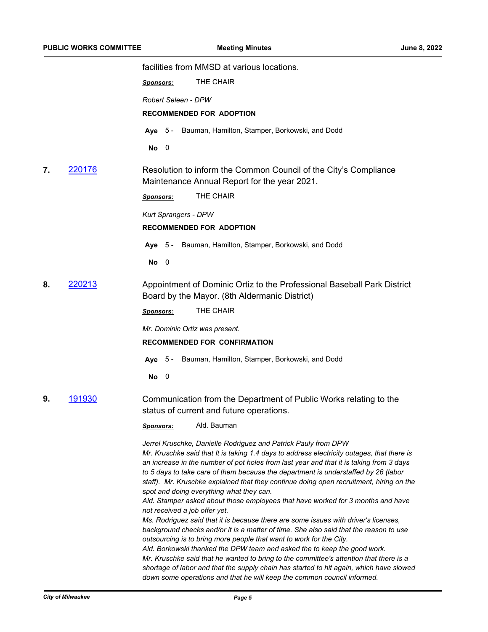facilities from MMSD at various locations. *Sponsors:* THE CHAIR *Robert Seleen - DPW* **RECOMMENDED FOR ADOPTION Aye** 5 - Bauman, Hamilton, Stamper, Borkowski, and Dodd **No** 0 **7.** [220176](http://milwaukee.legistar.com/gateway.aspx?m=l&id=/matter.aspx?key=62287) Resolution to inform the Common Council of the City's Compliance Maintenance Annual Report for the year 2021. *Sponsors:* THE CHAIR *Kurt Sprangers - DPW* **RECOMMENDED FOR ADOPTION Aye** 5 - Bauman, Hamilton, Stamper, Borkowski, and Dodd **No** 0 **8.** [220213](http://milwaukee.legistar.com/gateway.aspx?m=l&id=/matter.aspx?key=62340) Appointment of Dominic Ortiz to the Professional Baseball Park District Board by the Mayor. (8th Aldermanic District) *Sponsors:* THE CHAIR *Mr. Dominic Ortiz was present.* **RECOMMENDED FOR CONFIRMATION Aye** 5 - Bauman, Hamilton, Stamper, Borkowski, and Dodd **No** 0 **9.** [191930](http://milwaukee.legistar.com/gateway.aspx?m=l&id=/matter.aspx?key=54177) Communication from the Department of Public Works relating to the status of current and future operations. *Sponsors:* Ald. Bauman *Jerrel Kruschke, Danielle Rodriguez and Patrick Pauly from DPW Mr. Kruschke said that It is taking 1.4 days to address electricity outages, that there is an increase in the number of pot holes from last year and that it is taking from 3 days to 5 days to take care of them because the department is understaffed by 26 (labor staff). Mr. Kruschke explained that they continue doing open recruitment, hiring on the spot and doing everything what they can. Ald. Stamper asked about those employees that have worked for 3 months and have not received a job offer yet. Ms. Rodriguez said that it is because there are some issues with driver's licenses, background checks and/or it is a matter of time. She also said that the reason to use outsourcing is to bring more people that want to work for the City. Ald. Borkowski thanked the DPW team and asked the to keep the good work. Mr. Kruschke said that he wanted to bring to the committee's attention that there is a shortage of labor and that the supply chain has started to hit again, which have slowed down some operations and that he will keep the common council informed.*